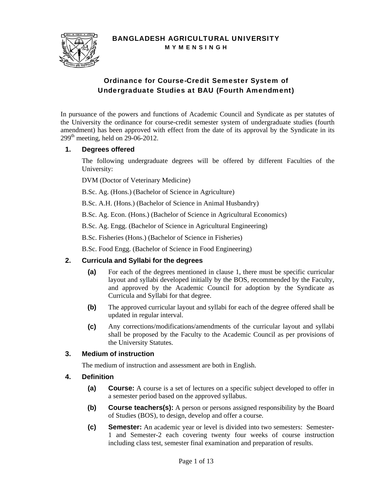

BANGLADESH AGRICULTURAL UNIVERSITY M Y M E N S I N G H

# Ordinance for Course-Credit Semester System of Undergraduate Studies at BAU (Fourth Amendment)

In pursuance of the powers and functions of Academic Council and Syndicate as per statutes of the University the ordinance for course-credit semester system of undergraduate studies (fourth amendment) has been approved with effect from the date of its approval by the Syndicate in its  $299<sup>th</sup>$  meeting, held on 29-06-2012.

### **1. Degrees offered**

The following undergraduate degrees will be offered by different Faculties of the University:

DVM (Doctor of Veterinary Medicine)

B.Sc. Ag. (Hons.) (Bachelor of Science in Agriculture)

B.Sc. A.H. (Hons.) (Bachelor of Science in Animal Husbandry)

B.Sc. Ag. Econ. (Hons.) (Bachelor of Science in Agricultural Economics)

B.Sc. Ag. Engg. (Bachelor of Science in Agricultural Engineering)

B.Sc. Fisheries (Hons.) (Bachelor of Science in Fisheries)

B.Sc. Food Engg. (Bachelor of Science in Food Engineering)

### **2. Curricula and Syllabi for the degrees**

- **(a)** For each of the degrees mentioned in clause 1, there must be specific curricular layout and syllabi developed initially by the BOS, recommended by the Faculty, and approved by the Academic Council for adoption by the Syndicate as Curricula and Syllabi for that degree.
- **(b)** The approved curricular layout and syllabi for each of the degree offered shall be updated in regular interval.
- **(c)** Any corrections/modifications/amendments of the curricular layout and syllabi shall be proposed by the Faculty to the Academic Council as per provisions of the University Statutes.

### **3. Medium of instruction**

The medium of instruction and assessment are both in English.

### **4. Definition**

- **(a) Course:** A course is a set of lectures on a specific subject developed to offer in a semester period based on the approved syllabus.
- **(b)** Course teachers(s): A person or persons assigned responsibility by the Board of Studies (BOS), to design, develop and offer a course.
- **(c) Semester:** An academic year or level is divided into two semesters: Semester-1 and Semester-2 each covering twenty four weeks of course instruction including class test, semester final examination and preparation of results.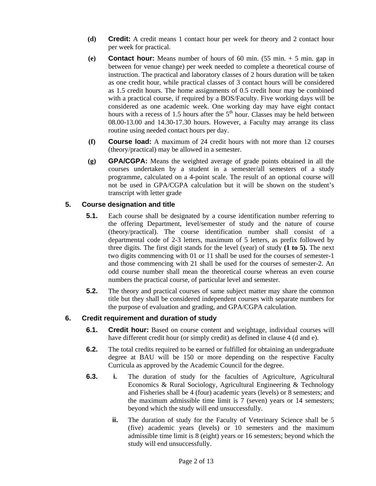- **(d) Credit:** A credit means 1 contact hour per week for theory and 2 contact hour per week for practical.
- **(e) Contact hour:** Means number of hours of 60 min.  $(55 \text{ min.} + 5 \text{ min.} \text{ gap in})$ between for venue change) per week needed to complete a theoretical course of instruction. The practical and laboratory classes of 2 hours duration will be taken as one credit hour, while practical classes of 3 contact hours will be considered as 1.5 credit hours. The home assignments of 0.5 credit hour may be combined with a practical course, if required by a BOS/Faculty. Five working days will be considered as one academic week. One working day may have eight contact hours with a recess of  $1.5$  hours after the  $5<sup>th</sup>$  hour. Classes may be held between 08.00-13.00 and 14.30-17.30 hours. However, a Faculty may arrange its class routine using needed contact hours per day.
- **(f) Course load:** A maximum of 24 credit hours with not more than 12 courses (theory/practical) may be allowed in a semester.
- **(g) GPA/CGPA:** Means the weighted average of grade points obtained in all the courses undertaken by a student in a semester/all semesters of a study programme, calculated on a 4-point scale. The result of an optional course will not be used in GPA/CGPA calculation but it will be shown on the student's transcript with letter grade

# **5. Course designation and title**

- **5.1.** Each course shall be designated by a course identification number referring to the offering Department, level/semester of study and the nature of course (theory/practical). The course identification number shall consist of a departmental code of 2-3 letters, maximum of 5 letters, as prefix followed by three digits. The first digit stands for the level (year) of study **(1 to 5).** The next two digits commencing with 01 or 11 shall be used for the courses of semester-1 and those commencing with 21 shall be used for the courses of semester-2. An odd course number shall mean the theoretical course whereas an even course numbers the practical course, of particular level and semester.
- **5.2.** The theory and practical courses of same subject matter may share the common title but they shall be considered independent courses with separate numbers for the purpose of evaluation and grading, and GPA/CGPA calculation.

# **6. Credit requirement and duration of study**

- **6.1. Credit hour:** Based on course content and weightage, individual courses will have different credit hour (or simply credit) as defined in clause 4 (d and e).
- **6.2.** The total credits required to be earned or fulfilled for obtaining an undergraduate degree at BAU will be 150 or more depending on the respective Faculty Curricula as approved by the Academic Council for the degree.
- **6.3. i.** The duration of study for the faculties of Agriculture, Agricultural Economics & Rural Sociology, Agricultural Engineering & Technology and Fisheries shall be 4 (four) academic years (levels) or 8 semesters; and the maximum admissible time limit is 7 (seven) years or 14 semesters; beyond which the study will end unsuccessfully.
	- **ii.** The duration of study for the Faculty of Veterinary Science shall be 5 (five) academic years (levels) or 10 semesters and the maximum admissible time limit is 8 (eight) years or 16 semesters; beyond which the study will end unsuccessfully.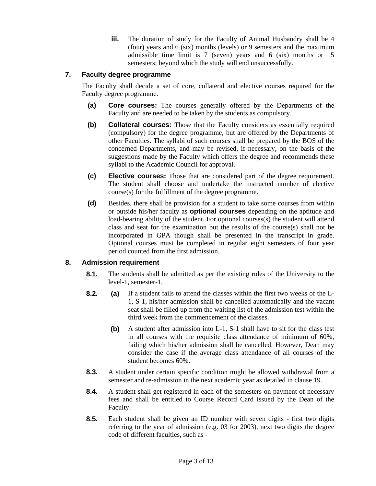**iii.** The duration of study for the Faculty of Animal Husbandry shall be 4 (four) years and 6 (six) months (levels) or 9 semesters and the maximum admissible time limit is 7 (seven) years and 6 (six) months or 15 semesters; beyond which the study will end unsuccessfully.

# **7. Faculty degree programme**

The Faculty shall decide a set of core, collateral and elective courses required for the Faculty degree programme.

- **(a) Core courses:** The courses generally offered by the Departments of the Faculty and are needed to be taken by the students as compulsory.
- **(b) Collateral courses:** Those that the Faculty considers as essentially required (compulsory) for the degree programme, but are offered by the Departments of other Faculties. The syllabi of such courses shall be prepared by the BOS of the concerned Departments, and may be revised, if necessary, on the basis of the suggestions made by the Faculty which offers the degree and recommends these syllabi to the Academic Council for approval.
- **(c) Elective courses:** Those that are considered part of the degree requirement. The student shall choose and undertake the instructed number of elective course(s) for the fulfillment of the degree programme.
- **(d)** Besides, there shall be provision for a student to take some courses from within or outside his/her faculty as **optional courses** depending on the aptitude and load-bearing ability of the student. For optional courses(s) the student will attend class and seat for the examination but the results of the course(s) shall not be incorporated in GPA though shall be presented in the transcript in grade. Optional courses must be completed in regular eight semesters of four year period counted from the first admission.

### **8. Admission requirement**

- **8.1.** The students shall be admitted as per the existing rules of the University to the level-1, semester-1.
- **8.2. (a)** If a student fails to attend the classes within the first two weeks of the L-1, S-1, his/her admission shall be cancelled automatically and the vacant seat shall be filled up from the waiting list of the admission test within the third week from the commencement of the classes.
	- **(b)** A student after admission into L-1, S-1 shall have to sit for the class test in all courses with the requisite class attendance of minimum of 60%, failing which his/her admission shall be cancelled. However, Dean may consider the case if the average class attendance of all courses of the student becomes 60%.
- **8.3.** A student under certain specific condition might be allowed withdrawal from a semester and re-admission in the next academic year as detailed in clause 19.
- **8.4.** A student shall get registered in each of the semesters on payment of necessary fees and shall be entitled to Course Record Card issued by the Dean of the Faculty.
- **8.5.** Each student shall be given an ID number with seven digits first two digits referring to the year of admission (e.g. 03 for 2003), next two digits the degree code of different faculties, such as -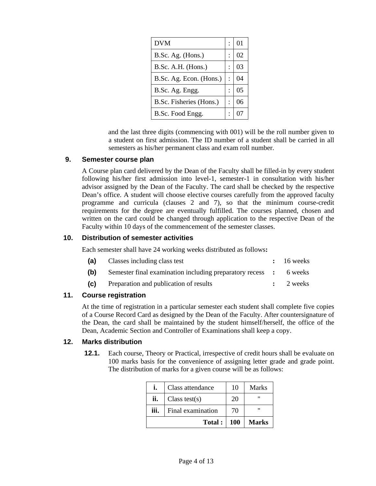| <b>DVM</b>              | 01 |
|-------------------------|----|
| B.Sc. Ag. (Hons.)       | 02 |
| B.Sc. A.H. (Hons.)      | 03 |
| B.Sc. Ag. Econ. (Hons.) | 04 |
| B.Sc. Ag. Engg.         | 05 |
| B.Sc. Fisheries (Hons.) | 06 |
| B.Sc. Food Engg.        |    |

and the last three digits (commencing with 001) will be the roll number given to a student on first admission. The ID number of a student shall be carried in all semesters as his/her permanent class and exam roll number.

#### **9. Semester course plan**

A Course plan card delivered by the Dean of the Faculty shall be filled-in by every student following his/her first admission into level-1, semester-1 in consultation with his/her advisor assigned by the Dean of the Faculty. The card shall be checked by the respective Dean's office. A student will choose elective courses carefully from the approved faculty programme and curricula (clauses 2 and 7), so that the minimum course-credit requirements for the degree are eventually fulfilled. The courses planned, chosen and written on the card could be changed through application to the respective Dean of the Faculty within 10 days of the commencement of the semester classes.

### **10. Distribution of semester activities**

Each semester shall have 24 working weeks distributed as follows**:**

| (a) | Classes including class test                                      | $: 16$ weeks         |
|-----|-------------------------------------------------------------------|----------------------|
| (b) | Semester final examination including preparatory recess : 6 weeks |                      |
| (c) | Preparation and publication of results                            | $\therefore$ 2 weeks |

### **11. Course registration**

At the time of registration in a particular semester each student shall complete five copies of a Course Record Card as designed by the Dean of the Faculty. After countersignature of the Dean, the card shall be maintained by the student himself/herself, the office of the Dean, Academic Section and Controller of Examinations shall keep a copy.

#### **12. Marks distribution**

**12.1.** Each course, Theory or Practical, irrespective of credit hours shall be evaluate on 100 marks basis for the convenience of assigning letter grade and grade point. The distribution of marks for a given course will be as follows:

|      | Class attendance  | 10   | Marks        |
|------|-------------------|------|--------------|
| ii.  | Class test(s)     | 20   | "            |
| iii. | Final examination | 70   |              |
|      | Total:            | -100 | <b>Marks</b> |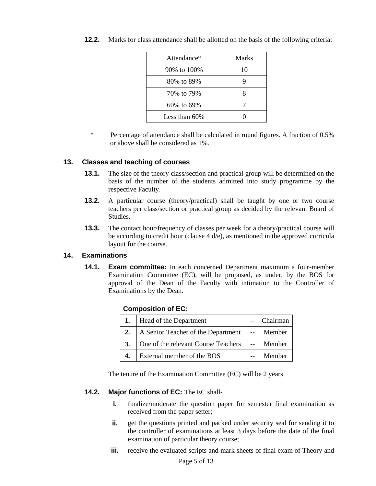| Attendance*      | Marks |
|------------------|-------|
| 90% to 100%      | 10    |
| 80% to 89%       |       |
| 70% to 79%       |       |
| $60\%$ to $69\%$ |       |
| Less than $60\%$ |       |

**12.2.** Marks for class attendance shall be allotted on the basis of the following criteria:

\* Percentage of attendance shall be calculated in round figures. A fraction of 0.5% or above shall be considered as 1%.

#### **13. Classes and teaching of courses**

- **13.1.** The size of the theory class/section and practical group will be determined on the basis of the number of the students admitted into study programme by the respective Faculty.
- **13.2.** A particular course (theory/practical) shall be taught by one or two course teachers per class/section or practical group as decided by the relevant Board of Studies.
- **13.3.** The contact hour/frequency of classes per week for a theory/practical course will be according to credit hour (clause  $4 d/e$ ), as mentioned in the approved curricula layout for the course.

### **14. Examinations**

**14.1. Exam committee:** In each concerned Department maximum a four-member Examination Committee (EC), will be proposed, as under, by the BOS for approval of the Dean of the Faculty with intimation to the Controller of Examinations by the Dean.

| <b>Composition of EC:</b> |  |
|---------------------------|--|
|---------------------------|--|

| 1. | Head of the Department              | Chairman |
|----|-------------------------------------|----------|
| 2. | A Senior Teacher of the Department  | Member   |
| 3. | One of the relevant Course Teachers | Member   |
| 4. | External member of the BOS          | Member   |

The tenure of the Examination Committee (EC) will be 2 years

#### **14.2. Major functions of EC:** The EC shall-

- **i. finalize/moderate the question paper for semester final examination as** received from the paper setter;
- **ii.** get the questions printed and packed under security seal for sending it to the controller of examinations at least 3 days before the date of the final examination of particular theory course;
- **iii.** receive the evaluated scripts and mark sheets of final exam of Theory and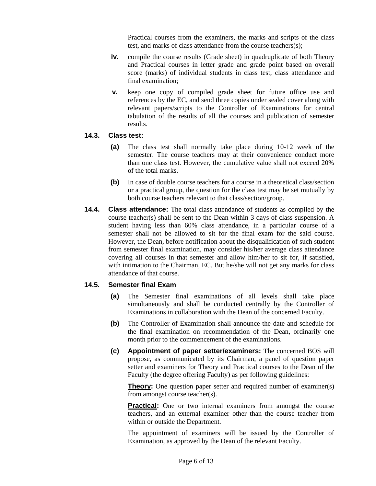Practical courses from the examiners, the marks and scripts of the class test, and marks of class attendance from the course teachers(s);

- **iv.** compile the course results (Grade sheet) in quadruplicate of both Theory and Practical courses in letter grade and grade point based on overall score (marks) of individual students in class test, class attendance and final examination;
- **v.** keep one copy of compiled grade sheet for future office use and references by the EC, and send three copies under sealed cover along with relevant papers/scripts to the Controller of Examinations for central tabulation of the results of all the courses and publication of semester results.

### **14.3. Class test:**

- **(a)** The class test shall normally take place during 10-12 week of the semester. The course teachers may at their convenience conduct more than one class test. However, the cumulative value shall not exceed 20% of the total marks.
- **(b)** In case of double course teachers for a course in a theoretical class/section or a practical group, the question for the class test may be set mutually by both course teachers relevant to that class/section/group.
- **14.4. Class attendance:** The total class attendance of students as compiled by the course teacher(s) shall be sent to the Dean within 3 days of class suspension. A student having less than 60% class attendance, in a particular course of a semester shall not be allowed to sit for the final exam for the said course. However, the Dean, before notification about the disqualification of such student from semester final examination, may consider his/her average class attendance covering all courses in that semester and allow him/her to sit for, if satisfied, with intimation to the Chairman, EC. But he/she will not get any marks for class attendance of that course.

# **14.5. Semester final Exam**

- **(a)** The Semester final examinations of all levels shall take place simultaneously and shall be conducted centrally by the Controller of Examinations in collaboration with the Dean of the concerned Faculty.
- **(b)** The Controller of Examination shall announce the date and schedule for the final examination on recommendation of the Dean, ordinarily one month prior to the commencement of the examinations.
- **(c) Appointment of paper setter/examiners:** The concerned BOS will propose, as communicated by its Chairman, a panel of question paper setter and examiners for Theory and Practical courses to the Dean of the Faculty (the degree offering Faculty) as per following guidelines:

**Theory:** One question paper setter and required number of examiner(s) from amongst course teacher(s).

**Practical:** One or two internal examiners from amongst the course teachers, and an external examiner other than the course teacher from within or outside the Department.

The appointment of examiners will be issued by the Controller of Examination, as approved by the Dean of the relevant Faculty.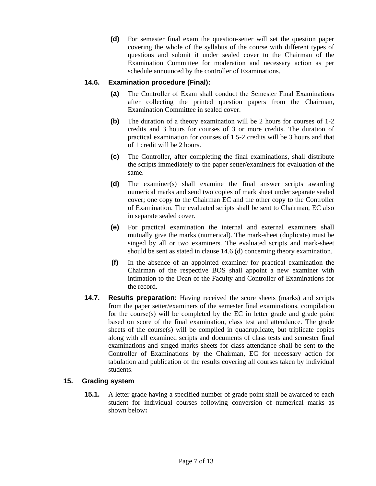**(d)** For semester final exam the question-setter will set the question paper covering the whole of the syllabus of the course with different types of questions and submit it under sealed cover to the Chairman of the Examination Committee for moderation and necessary action as per schedule announced by the controller of Examinations.

# **14.6. Examination procedure (Final):**

- **(a)** The Controller of Exam shall conduct the Semester Final Examinations after collecting the printed question papers from the Chairman, Examination Committee in sealed cover.
- **(b)** The duration of a theory examination will be 2 hours for courses of 1-2 credits and 3 hours for courses of 3 or more credits. The duration of practical examination for courses of 1.5-2 credits will be 3 hours and that of 1 credit will be 2 hours.
- **(c)** The Controller, after completing the final examinations, shall distribute the scripts immediately to the paper setter/examiners for evaluation of the same.
- **(d)** The examiner(s) shall examine the final answer scripts awarding numerical marks and send two copies of mark sheet under separate sealed cover; one copy to the Chairman EC and the other copy to the Controller of Examination. The evaluated scripts shall be sent to Chairman, EC also in separate sealed cover.
- **(e)** For practical examination the internal and external examiners shall mutually give the marks (numerical). The mark-sheet (duplicate) must be singed by all or two examiners. The evaluated scripts and mark-sheet should be sent as stated in clause 14.6 (d) concerning theory examination.
- **(f)** In the absence of an appointed examiner for practical examination the Chairman of the respective BOS shall appoint a new examiner with intimation to the Dean of the Faculty and Controller of Examinations for the record.
- **14.7. Results preparation:** Having received the score sheets (marks) and scripts from the paper setter/examiners of the semester final examinations, compilation for the course(s) will be completed by the EC in letter grade and grade point based on score of the final examination, class test and attendance. The grade sheets of the course(s) will be compiled in quadruplicate, but triplicate copies along with all examined scripts and documents of class tests and semester final examinations and singed marks sheets for class attendance shall be sent to the Controller of Examinations by the Chairman, EC for necessary action for tabulation and publication of the results covering all courses taken by individual students.

### **15. Grading system**

**15.1.** A letter grade having a specified number of grade point shall be awarded to each student for individual courses following conversion of numerical marks as shown below**:**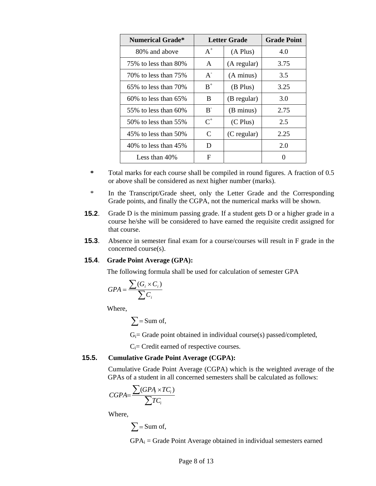| <b>Numerical Grade*</b>    | Letter Grade                |               | <b>Grade Point</b> |
|----------------------------|-----------------------------|---------------|--------------------|
| 80% and above              | $A^+$                       | $(A$ Plus $)$ | 4.0                |
| 75% to less than 80%       | A                           | (A regular)   | 3.75               |
| 70% to less than 75%       | $A^{-}$                     | (A minus)     | 3.5                |
| $65\%$ to less than $70\%$ | $B^+$                       | (B Plus)      | 3.25               |
| $60\%$ to less than $65\%$ | B                           | (B regular)   | 3.0                |
| 55\% to less than 60\%     | $B^{-}$                     | (B minus)     | 2.75               |
| 50% to less than 55%       | $C^+$                       | $(C$ Plus $)$ | 2.5                |
| $45\%$ to less than $50\%$ | $\mathcal{C}_{\mathcal{C}}$ | (C regular)   | 2.25               |
| 40\% to less than $45\%$   | D                           |               | 2.0                |
| Less than $40\%$           | F                           |               | $\mathbf{\Omega}$  |

- **\*** Total marks for each course shall be compiled in round figures. A fraction of 0.5 or above shall be considered as next higher number (marks).
- \* In the Transcript/Grade sheet, only the Letter Grade and the Corresponding Grade points, and finally the CGPA, not the numerical marks will be shown.
- **15.2**. Grade D is the minimum passing grade. If a student gets D or a higher grade in a course he/she will be considered to have earned the requisite credit assigned for that course.
- **15.3.** Absence in semester final exam for a course/courses will result in F grade in the concerned course(s).

#### **15.4**. **Grade Point Average (GPA):**

The following formula shall be used for calculation of semester GPA

$$
GPA = \frac{\sum(G_i \times C_i)}{\sum C_i}
$$

Where,

$$
\sum = \text{Sum of,}
$$

 $G_i$ = Grade point obtained in individual course(s) passed/completed,

 $C_i$ = Credit earned of respective courses.

#### **15.5. Cumulative Grade Point Average (CGPA):**

Cumulative Grade Point Average (CGPA) which is the weighted average of the GPAs of a student in all concerned semesters shall be calculated as follows:

$$
CGPA = \frac{\sum (GPA_i \times TC_i)}{\sum TC_i}
$$

Where,

$$
\sum = \text{Sum of,}
$$

 $GPA_i = Grade Point Average obtained in individual semesters earned$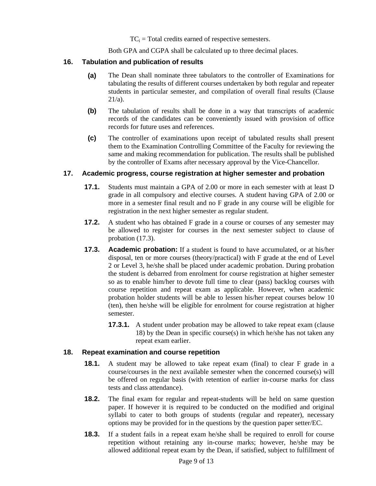$TC_i$  = Total credits earned of respective semesters.

Both GPA and CGPA shall be calculated up to three decimal places.

### **16. Tabulation and publication of results**

- **(a)** The Dean shall nominate three tabulators to the controller of Examinations for tabulating the results of different courses undertaken by both regular and repeater students in particular semester, and compilation of overall final results (Clause  $21/a$ ).
- **(b)** The tabulation of results shall be done in a way that transcripts of academic records of the candidates can be conveniently issued with provision of office records for future uses and references.
- **(c)** The controller of examinations upon receipt of tabulated results shall present them to the Examination Controlling Committee of the Faculty for reviewing the same and making recommendation for publication. The results shall be published by the controller of Exams after necessary approval by the Vice-Chancellor.

### **17. Academic progress, course registration at higher semester and probation**

- **17.1.** Students must maintain a GPA of 2.00 or more in each semester with at least D grade in all compulsory and elective courses. A student having GPA of 2.00 or more in a semester final result and no F grade in any course will be eligible for registration in the next higher semester as regular student.
- **17.2.** A student who has obtained F grade in a course or courses of any semester may be allowed to register for courses in the next semester subject to clause of probation (17.3).
- **17.3. Academic probation:** If a student is found to have accumulated, or at his/her disposal, ten or more courses (theory/practical) with F grade at the end of Level 2 or Level 3, he/she shall be placed under academic probation. During probation the student is debarred from enrolment for course registration at higher semester so as to enable him/her to devote full time to clear (pass) backlog courses with course repetition and repeat exam as applicable. However, when academic probation holder students will be able to lessen his/her repeat courses below 10 (ten), then he/she will be eligible for enrolment for course registration at higher semester.
	- **17.3.1.** A student under probation may be allowed to take repeat exam (clause 18) by the Dean in specific course(s) in which he/she has not taken any repeat exam earlier.

#### **18. Repeat examination and course repetition**

- **18.1.** A student may be allowed to take repeat exam (final) to clear F grade in a course/courses in the next available semester when the concerned course(s) will be offered on regular basis (with retention of earlier in-course marks for class tests and class attendance).
- **18.2.** The final exam for regular and repeat-students will be held on same question paper. If however it is required to be conducted on the modified and original syllabi to cater to both groups of students (regular and repeater), necessary options may be provided for in the questions by the question paper setter/EC.
- **18.3.** If a student fails in a repeat exam he/she shall be required to enroll for course repetition without retaining any in-course marks; however, he/she may be allowed additional repeat exam by the Dean, if satisfied, subject to fulfillment of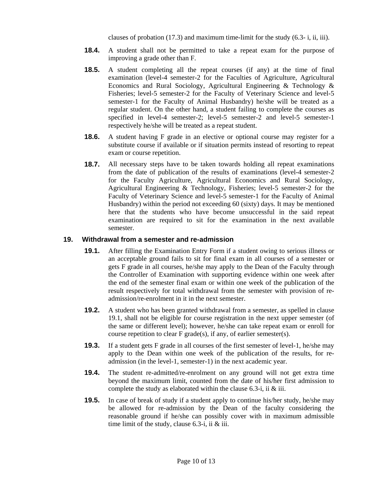clauses of probation (17.3) and maximum time-limit for the study (6.3- i, ii, iii).

- **18.4.** A student shall not be permitted to take a repeat exam for the purpose of improving a grade other than F.
- **18.5.** A student completing all the repeat courses (if any) at the time of final examination (level-4 semester-2 for the Faculties of Agriculture, Agricultural Economics and Rural Sociology, Agricultural Engineering & Technology & Fisheries; level-5 semester-2 for the Faculty of Veterinary Science and level-5 semester-1 for the Faculty of Animal Husbandry) he/she will be treated as a regular student. On the other hand, a student failing to complete the courses as specified in level-4 semester-2; level-5 semester-2 and level-5 semester-1 respectively he/she will be treated as a repeat student.
- **18.6.** A student having F grade in an elective or optional course may register for a substitute course if available or if situation permits instead of resorting to repeat exam or course repetition.
- **18.7.** All necessary steps have to be taken towards holding all repeat examinations from the date of publication of the results of examinations (level-4 semester-2 for the Faculty Agriculture, Agricultural Economics and Rural Sociology, Agricultural Engineering & Technology, Fisheries; level-5 semester-2 for the Faculty of Veterinary Science and level-5 semester-1 for the Faculty of Animal Husbandry) within the period not exceeding 60 (sixty) days. It may be mentioned here that the students who have become unsuccessful in the said repeat examination are required to sit for the examination in the next available semester.

#### **19. Withdrawal from a semester and re-admission**

- **19.1.** After filling the Examination Entry Form if a student owing to serious illness or an acceptable ground fails to sit for final exam in all courses of a semester or gets F grade in all courses, he/she may apply to the Dean of the Faculty through the Controller of Examination with supporting evidence within one week after the end of the semester final exam or within one week of the publication of the result respectively for total withdrawal from the semester with provision of readmission/re-enrolment in it in the next semester.
- **19.2.** A student who has been granted withdrawal from a semester, as spelled in clause 19.1, shall not be eligible for course registration in the next upper semester (of the same or different level); however, he/she can take repeat exam or enroll for course repetition to clear F grade(s), if any, of earlier semester(s).
- **19.3.** If a student gets F grade in all courses of the first semester of level-1, he/she may apply to the Dean within one week of the publication of the results, for readmission (in the level-1, semester-1) in the next academic year.
- **19.4.** The student re-admitted/re-enrolment on any ground will not get extra time beyond the maximum limit, counted from the date of his/her first admission to complete the study as elaborated within the clause 6.3-i, ii & iii.
- **19.5.** In case of break of study if a student apply to continue his/her study, he/she may be allowed for re-admission by the Dean of the faculty considering the reasonable ground if he/she can possibly cover with in maximum admissible time limit of the study, clause 6.3-i, ii & iii.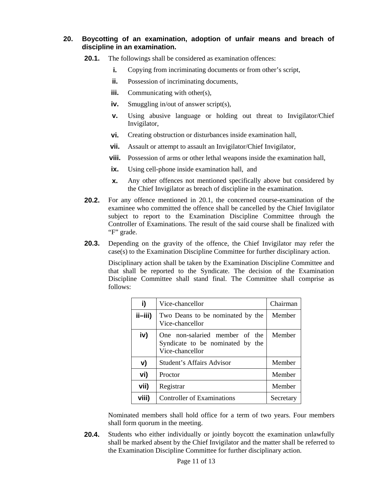### **20. Boycotting of an examination, adoption of unfair means and breach of discipline in an examination.**

- **20.1.** The followings shall be considered as examination offences:
	- **i.** Copying from incriminating documents or from other's script,
	- **ii.** Possession of incriminating documents,
	- **iii.** Communicating with other(s),
	- **iv.** Smuggling in/out of answer script(s),
	- **v.** Using abusive language or holding out threat to Invigilator/Chief Invigilator,
	- **vi.** Creating obstruction or disturbances inside examination hall,
	- **vii.** Assault or attempt to assault an Invigilator/Chief Invigilator,
	- **viii.** Possession of arms or other lethal weapons inside the examination hall,
	- **ix.** Using cell-phone inside examination hall, and
	- **x.** Any other offences not mentioned specifically above but considered by the Chief Invigilator as breach of discipline in the examination.
- **20.2.** For any offence mentioned in 20.1, the concerned course-examination of the examinee who committed the offence shall be cancelled by the Chief Invigilator subject to report to the Examination Discipline Committee through the Controller of Examinations. The result of the said course shall be finalized with "F" grade.
- **20.3.** Depending on the gravity of the offence, the Chief Invigilator may refer the case(s) to the Examination Discipline Committee for further disciplinary action.

Disciplinary action shall be taken by the Examination Discipline Committee and that shall be reported to the Syndicate. The decision of the Examination Discipline Committee shall stand final. The Committee shall comprise as follows:

| i)          | Vice-chancellor                                                                       | Chairman  |
|-------------|---------------------------------------------------------------------------------------|-----------|
| $i$ ii-iii) | Two Deans to be nominated by the<br>Vice-chancellor                                   | Member    |
| iv)         | One non-salaried member of the<br>Syndicate to be nominated by the<br>Vice-chancellor | Member    |
| V)          | <b>Student's Affairs Advisor</b>                                                      | Member    |
| vi)         | Proctor                                                                               | Member    |
| vii)        | Registrar                                                                             | Member    |
| viii)       | <b>Controller of Examinations</b>                                                     | Secretary |

Nominated members shall hold office for a term of two years. Four members shall form quorum in the meeting.

**20.4.** Students who either individually or jointly boycott the examination unlawfully shall be marked absent by the Chief Invigilator and the matter shall be referred to the Examination Discipline Committee for further disciplinary action.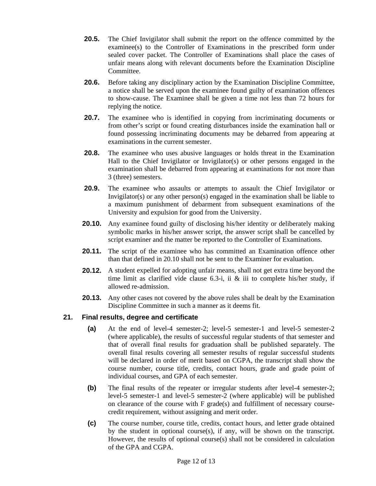- **20.5.** The Chief Invigilator shall submit the report on the offence committed by the examinee(s) to the Controller of Examinations in the prescribed form under sealed cover packet. The Controller of Examinations shall place the cases of unfair means along with relevant documents before the Examination Discipline Committee.
- **20.6.** Before taking any disciplinary action by the Examination Discipline Committee, a notice shall be served upon the examinee found guilty of examination offences to show-cause. The Examinee shall be given a time not less than 72 hours for replying the notice.
- **20.7.** The examinee who is identified in copying from incriminating documents or from other's script or found creating disturbances inside the examination hall or found possessing incriminating documents may be debarred from appearing at examinations in the current semester.
- **20.8.** The examinee who uses abusive languages or holds threat in the Examination Hall to the Chief Invigilator or Invigilator(s) or other persons engaged in the examination shall be debarred from appearing at examinations for not more than 3 (three) semesters.
- **20.9.** The examinee who assaults or attempts to assault the Chief Invigilator or Invigilator(s) or any other person(s) engaged in the examination shall be liable to a maximum punishment of debarment from subsequent examinations of the University and expulsion for good from the University.
- **20.10.** Any examinee found guilty of disclosing his/her identity or deliberately making symbolic marks in his/her answer script, the answer script shall be cancelled by script examiner and the matter be reported to the Controller of Examinations.
- **20.11.** The script of the examinee who has committed an Examination offence other than that defined in 20.10 shall not be sent to the Examiner for evaluation.
- **20.12.** A student expelled for adopting unfair means, shall not get extra time beyond the time limit as clarified vide clause  $6.3-i$ , ii & iii to complete his/her study, if allowed re-admission.
- **20.13.** Any other cases not covered by the above rules shall be dealt by the Examination Discipline Committee in such a manner as it deems fit.

### **21. Final results, degree and certificate**

- **(a)** At the end of level-4 semester-2; level-5 semester-1 and level-5 semester-2 (where applicable), the results of successful regular students of that semester and that of overall final results for graduation shall be published separately. The overall final results covering all semester results of regular successful students will be declared in order of merit based on CGPA, the transcript shall show the course number, course title, credits, contact hours, grade and grade point of individual courses, and GPA of each semester.
- **(b)** The final results of the repeater or irregular students after level-4 semester-2; level-5 semester-1 and level-5 semester-2 (where applicable) will be published on clearance of the course with F grade(s) and fulfillment of necessary coursecredit requirement, without assigning and merit order.
- **(c)** The course number, course title, credits, contact hours, and letter grade obtained by the student in optional course(s), if any, will be shown on the transcript. However, the results of optional course(s) shall not be considered in calculation of the GPA and CGPA.